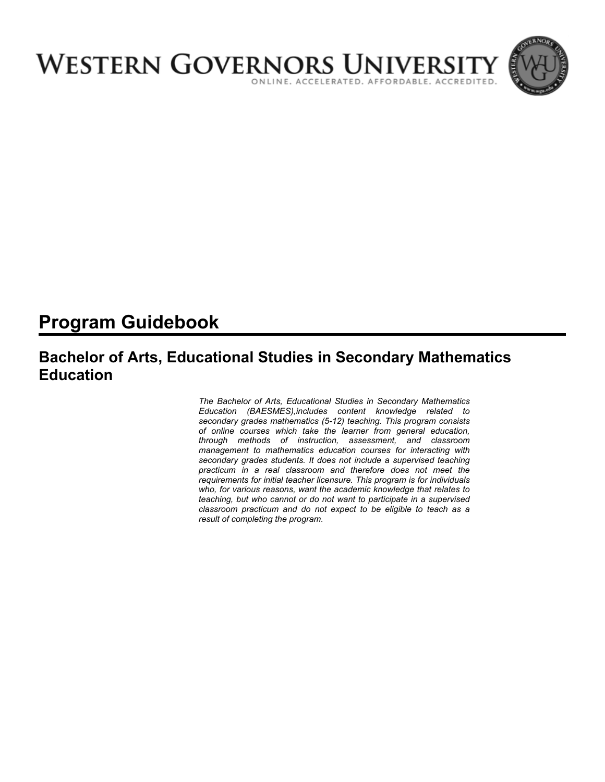

# **Program Guidebook**

## **Bachelor of Arts, Educational Studies in Secondary Mathematics Education**

*The Bachelor of Arts, Educational Studies in Secondary Mathematics Education (BAESMES),includes content knowledge related to secondary grades mathematics (5-12) teaching. This program consists of online courses which take the learner from general education, through methods of instruction, assessment, and classroom management to mathematics education courses for interacting with secondary grades students. It does not include a supervised teaching practicum in a real classroom and therefore does not meet the requirements for initial teacher licensure. This program is for individuals who, for various reasons, want the academic knowledge that relates to teaching, but who cannot or do not want to participate in a supervised classroom practicum and do not expect to be eligible to teach as a result of completing the program.*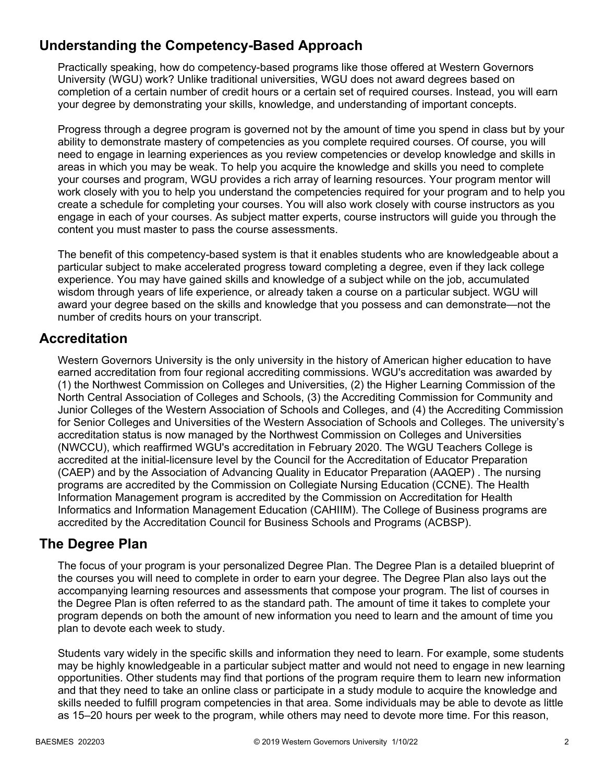## **Understanding the Competency-Based Approach**

Practically speaking, how do competency-based programs like those offered at Western Governors University (WGU) work? Unlike traditional universities, WGU does not award degrees based on completion of a certain number of credit hours or a certain set of required courses. Instead, you will earn your degree by demonstrating your skills, knowledge, and understanding of important concepts.

Progress through a degree program is governed not by the amount of time you spend in class but by your ability to demonstrate mastery of competencies as you complete required courses. Of course, you will need to engage in learning experiences as you review competencies or develop knowledge and skills in areas in which you may be weak. To help you acquire the knowledge and skills you need to complete your courses and program, WGU provides a rich array of learning resources. Your program mentor will work closely with you to help you understand the competencies required for your program and to help you create a schedule for completing your courses. You will also work closely with course instructors as you engage in each of your courses. As subject matter experts, course instructors will guide you through the content you must master to pass the course assessments.

The benefit of this competency-based system is that it enables students who are knowledgeable about a particular subject to make accelerated progress toward completing a degree, even if they lack college experience. You may have gained skills and knowledge of a subject while on the job, accumulated wisdom through years of life experience, or already taken a course on a particular subject. WGU will award your degree based on the skills and knowledge that you possess and can demonstrate—not the number of credits hours on your transcript.

## **Accreditation**

Western Governors University is the only university in the history of American higher education to have earned accreditation from four regional accrediting commissions. WGU's accreditation was awarded by (1) the Northwest Commission on Colleges and Universities, (2) the Higher Learning Commission of the North Central Association of Colleges and Schools, (3) the Accrediting Commission for Community and Junior Colleges of the Western Association of Schools and Colleges, and (4) the Accrediting Commission for Senior Colleges and Universities of the Western Association of Schools and Colleges. The university's accreditation status is now managed by the Northwest Commission on Colleges and Universities (NWCCU), which reaffirmed WGU's accreditation in February 2020. The WGU Teachers College is accredited at the initial-licensure level by the Council for the Accreditation of Educator Preparation (CAEP) and by the Association of Advancing Quality in Educator Preparation (AAQEP) . The nursing programs are accredited by the Commission on Collegiate Nursing Education (CCNE). The Health Information Management program is accredited by the Commission on Accreditation for Health Informatics and Information Management Education (CAHIIM). The College of Business programs are accredited by the Accreditation Council for Business Schools and Programs (ACBSP).

### **The Degree Plan**

The focus of your program is your personalized Degree Plan. The Degree Plan is a detailed blueprint of the courses you will need to complete in order to earn your degree. The Degree Plan also lays out the accompanying learning resources and assessments that compose your program. The list of courses in the Degree Plan is often referred to as the standard path. The amount of time it takes to complete your program depends on both the amount of new information you need to learn and the amount of time you plan to devote each week to study.

Students vary widely in the specific skills and information they need to learn. For example, some students may be highly knowledgeable in a particular subject matter and would not need to engage in new learning opportunities. Other students may find that portions of the program require them to learn new information and that they need to take an online class or participate in a study module to acquire the knowledge and skills needed to fulfill program competencies in that area. Some individuals may be able to devote as little as 15–20 hours per week to the program, while others may need to devote more time. For this reason,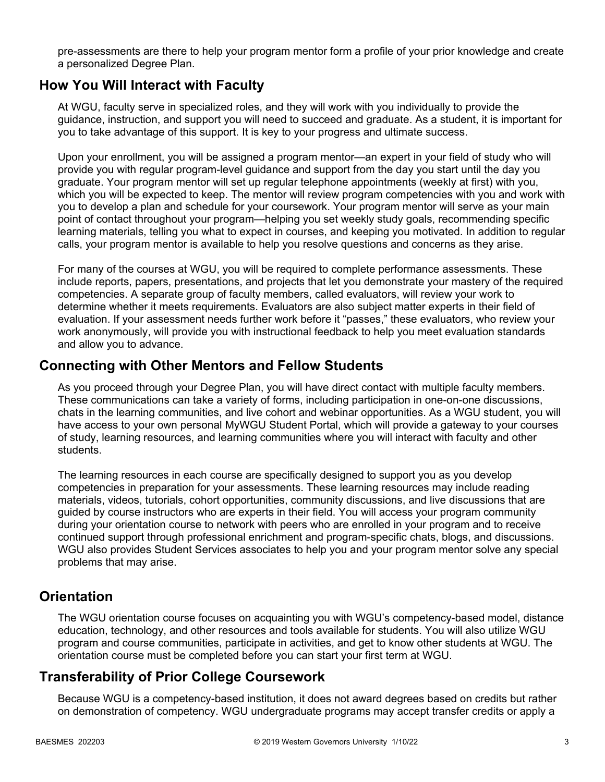pre-assessments are there to help your program mentor form a profile of your prior knowledge and create a personalized Degree Plan.

### **How You Will Interact with Faculty**

At WGU, faculty serve in specialized roles, and they will work with you individually to provide the guidance, instruction, and support you will need to succeed and graduate. As a student, it is important for you to take advantage of this support. It is key to your progress and ultimate success.

Upon your enrollment, you will be assigned a program mentor—an expert in your field of study who will provide you with regular program-level guidance and support from the day you start until the day you graduate. Your program mentor will set up regular telephone appointments (weekly at first) with you, which you will be expected to keep. The mentor will review program competencies with you and work with you to develop a plan and schedule for your coursework. Your program mentor will serve as your main point of contact throughout your program—helping you set weekly study goals, recommending specific learning materials, telling you what to expect in courses, and keeping you motivated. In addition to regular calls, your program mentor is available to help you resolve questions and concerns as they arise.

For many of the courses at WGU, you will be required to complete performance assessments. These include reports, papers, presentations, and projects that let you demonstrate your mastery of the required competencies. A separate group of faculty members, called evaluators, will review your work to determine whether it meets requirements. Evaluators are also subject matter experts in their field of evaluation. If your assessment needs further work before it "passes," these evaluators, who review your work anonymously, will provide you with instructional feedback to help you meet evaluation standards and allow you to advance.

### **Connecting with Other Mentors and Fellow Students**

As you proceed through your Degree Plan, you will have direct contact with multiple faculty members. These communications can take a variety of forms, including participation in one-on-one discussions, chats in the learning communities, and live cohort and webinar opportunities. As a WGU student, you will have access to your own personal MyWGU Student Portal, which will provide a gateway to your courses of study, learning resources, and learning communities where you will interact with faculty and other students.

The learning resources in each course are specifically designed to support you as you develop competencies in preparation for your assessments. These learning resources may include reading materials, videos, tutorials, cohort opportunities, community discussions, and live discussions that are guided by course instructors who are experts in their field. You will access your program community during your orientation course to network with peers who are enrolled in your program and to receive continued support through professional enrichment and program-specific chats, blogs, and discussions. WGU also provides Student Services associates to help you and your program mentor solve any special problems that may arise.

### **Orientation**

The WGU orientation course focuses on acquainting you with WGU's competency-based model, distance education, technology, and other resources and tools available for students. You will also utilize WGU program and course communities, participate in activities, and get to know other students at WGU. The orientation course must be completed before you can start your first term at WGU.

## **Transferability of Prior College Coursework**

Because WGU is a competency-based institution, it does not award degrees based on credits but rather on demonstration of competency. WGU undergraduate programs may accept transfer credits or apply a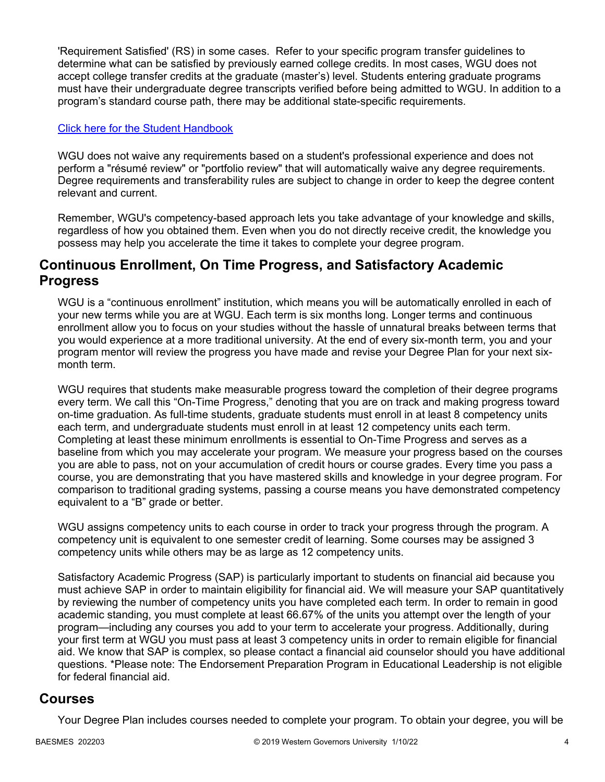'Requirement Satisfied' (RS) in some cases. Refer to your specific program transfer guidelines to determine what can be satisfied by previously earned college credits. In most cases, WGU does not accept college transfer credits at the graduate (master's) level. Students entering graduate programs must have their undergraduate degree transcripts verified before being admitted to WGU. In addition to a program's standard course path, there may be additional state-specific requirements.

### [Click here for the Student Handbook](http://cm.wgu.edu/)

WGU does not waive any requirements based on a student's professional experience and does not perform a "résumé review" or "portfolio review" that will automatically waive any degree requirements. Degree requirements and transferability rules are subject to change in order to keep the degree content relevant and current.

Remember, WGU's competency-based approach lets you take advantage of your knowledge and skills, regardless of how you obtained them. Even when you do not directly receive credit, the knowledge you possess may help you accelerate the time it takes to complete your degree program.

### **Continuous Enrollment, On Time Progress, and Satisfactory Academic Progress**

WGU is a "continuous enrollment" institution, which means you will be automatically enrolled in each of your new terms while you are at WGU. Each term is six months long. Longer terms and continuous enrollment allow you to focus on your studies without the hassle of unnatural breaks between terms that you would experience at a more traditional university. At the end of every six-month term, you and your program mentor will review the progress you have made and revise your Degree Plan for your next sixmonth term.

WGU requires that students make measurable progress toward the completion of their degree programs every term. We call this "On-Time Progress," denoting that you are on track and making progress toward on-time graduation. As full-time students, graduate students must enroll in at least 8 competency units each term, and undergraduate students must enroll in at least 12 competency units each term. Completing at least these minimum enrollments is essential to On-Time Progress and serves as a baseline from which you may accelerate your program. We measure your progress based on the courses you are able to pass, not on your accumulation of credit hours or course grades. Every time you pass a course, you are demonstrating that you have mastered skills and knowledge in your degree program. For comparison to traditional grading systems, passing a course means you have demonstrated competency equivalent to a "B" grade or better.

WGU assigns competency units to each course in order to track your progress through the program. A competency unit is equivalent to one semester credit of learning. Some courses may be assigned 3 competency units while others may be as large as 12 competency units.

Satisfactory Academic Progress (SAP) is particularly important to students on financial aid because you must achieve SAP in order to maintain eligibility for financial aid. We will measure your SAP quantitatively by reviewing the number of competency units you have completed each term. In order to remain in good academic standing, you must complete at least 66.67% of the units you attempt over the length of your program—including any courses you add to your term to accelerate your progress. Additionally, during your first term at WGU you must pass at least 3 competency units in order to remain eligible for financial aid. We know that SAP is complex, so please contact a financial aid counselor should you have additional questions. \*Please note: The Endorsement Preparation Program in Educational Leadership is not eligible for federal financial aid.

### **Courses**

Your Degree Plan includes courses needed to complete your program. To obtain your degree, you will be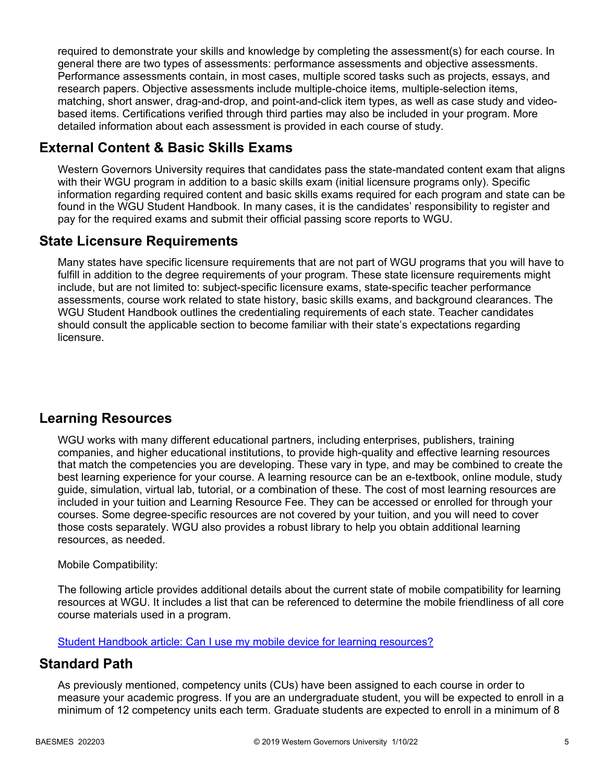required to demonstrate your skills and knowledge by completing the assessment(s) for each course. In general there are two types of assessments: performance assessments and objective assessments. Performance assessments contain, in most cases, multiple scored tasks such as projects, essays, and research papers. Objective assessments include multiple-choice items, multiple-selection items, matching, short answer, drag-and-drop, and point-and-click item types, as well as case study and videobased items. Certifications verified through third parties may also be included in your program. More detailed information about each assessment is provided in each course of study.

## **External Content & Basic Skills Exams**

Western Governors University requires that candidates pass the state-mandated content exam that aligns with their WGU program in addition to a basic skills exam (initial licensure programs only). Specific information regarding required content and basic skills exams required for each program and state can be found in the WGU Student Handbook. In many cases, it is the candidates' responsibility to register and pay for the required exams and submit their official passing score reports to WGU.

## **State Licensure Requirements**

Many states have specific licensure requirements that are not part of WGU programs that you will have to fulfill in addition to the degree requirements of your program. These state licensure requirements might include, but are not limited to: subject-specific licensure exams, state-specific teacher performance assessments, course work related to state history, basic skills exams, and background clearances. The WGU Student Handbook outlines the credentialing requirements of each state. Teacher candidates should consult the applicable section to become familiar with their state's expectations regarding licensure.

## **Learning Resources**

WGU works with many different educational partners, including enterprises, publishers, training companies, and higher educational institutions, to provide high-quality and effective learning resources that match the competencies you are developing. These vary in type, and may be combined to create the best learning experience for your course. A learning resource can be an e-textbook, online module, study guide, simulation, virtual lab, tutorial, or a combination of these. The cost of most learning resources are included in your tuition and Learning Resource Fee. They can be accessed or enrolled for through your courses. Some degree-specific resources are not covered by your tuition, and you will need to cover those costs separately. WGU also provides a robust library to help you obtain additional learning resources, as needed.

### Mobile Compatibility:

The following article provides additional details about the current state of mobile compatibility for learning resources at WGU. It includes a list that can be referenced to determine the mobile friendliness of all core course materials used in a program.

[Student Handbook article: Can I use my mobile device for learning resources?](https://cm.wgu.edu/t5/Frequently-Asked-Questions/Can-I-use-my-mobile-device-for-learning-resources/ta-p/396)

### **Standard Path**

As previously mentioned, competency units (CUs) have been assigned to each course in order to measure your academic progress. If you are an undergraduate student, you will be expected to enroll in a minimum of 12 competency units each term. Graduate students are expected to enroll in a minimum of 8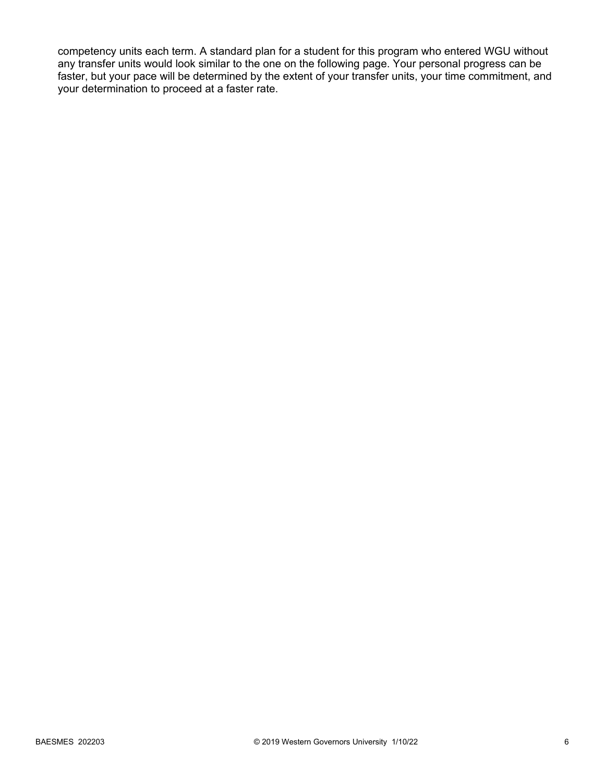competency units each term. A standard plan for a student for this program who entered WGU without any transfer units would look similar to the one on the following page. Your personal progress can be faster, but your pace will be determined by the extent of your transfer units, your time commitment, and your determination to proceed at a faster rate.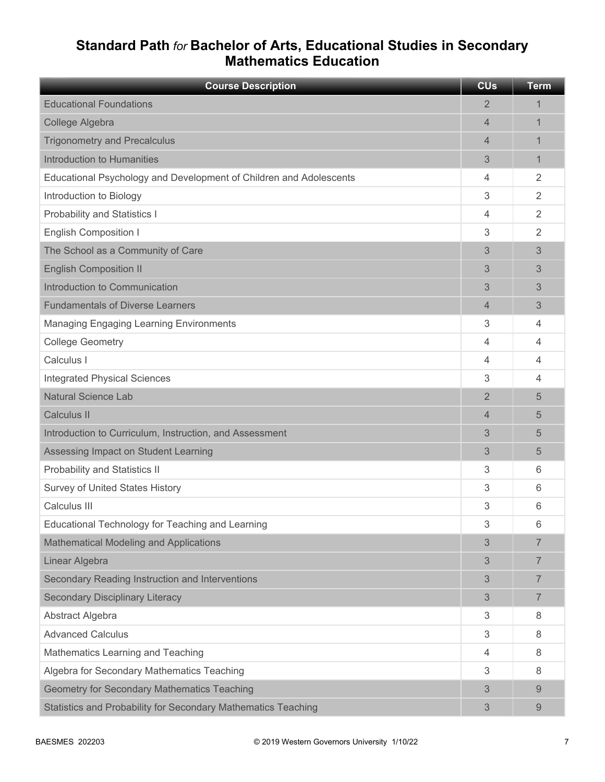## **Standard Path** *for* **Bachelor of Arts, Educational Studies in Secondary Mathematics Education**

| <b>Course Description</b>                                          | <b>CU<sub>s</sub></b> | <b>Term</b>    |
|--------------------------------------------------------------------|-----------------------|----------------|
| <b>Educational Foundations</b>                                     | $\overline{2}$        | 1              |
| College Algebra                                                    | 4                     | 1              |
| <b>Trigonometry and Precalculus</b>                                | 4                     | 1              |
| Introduction to Humanities                                         | 3                     | 1              |
| Educational Psychology and Development of Children and Adolescents | 4                     | $\overline{2}$ |
| Introduction to Biology                                            | 3                     | $\overline{2}$ |
| <b>Probability and Statistics I</b>                                | 4                     | $\overline{2}$ |
| <b>English Composition I</b>                                       | 3                     | $\overline{2}$ |
| The School as a Community of Care                                  | 3                     | 3              |
| <b>English Composition II</b>                                      | 3                     | 3              |
| Introduction to Communication                                      | 3                     | 3              |
| <b>Fundamentals of Diverse Learners</b>                            | 4                     | 3              |
| <b>Managing Engaging Learning Environments</b>                     | 3                     | 4              |
| <b>College Geometry</b>                                            | 4                     | 4              |
| Calculus I                                                         | 4                     | 4              |
| <b>Integrated Physical Sciences</b>                                | 3                     | 4              |
| <b>Natural Science Lab</b>                                         | $\overline{2}$        | 5              |
| <b>Calculus II</b>                                                 | 4                     | 5              |
| Introduction to Curriculum, Instruction, and Assessment            | 3                     | 5              |
| Assessing Impact on Student Learning                               | 3                     | 5              |
| Probability and Statistics II                                      | 3                     | 6              |
| <b>Survey of United States History</b>                             | 3                     | 6              |
| Calculus III                                                       | 3                     | 6              |
| Educational Technology for Teaching and Learning                   | 3                     | 6              |
| Mathematical Modeling and Applications                             | 3                     | $\overline{7}$ |
| Linear Algebra                                                     | 3                     | 7              |
| Secondary Reading Instruction and Interventions                    | 3                     | 7              |
| <b>Secondary Disciplinary Literacy</b>                             | 3                     | $\overline{7}$ |
| Abstract Algebra                                                   | 3                     | 8              |
| <b>Advanced Calculus</b>                                           | 3                     | 8              |
| Mathematics Learning and Teaching                                  | 4                     | 8              |
| Algebra for Secondary Mathematics Teaching                         | 3                     | 8              |
| <b>Geometry for Secondary Mathematics Teaching</b>                 | 3                     | 9              |
| Statistics and Probability for Secondary Mathematics Teaching      | 3                     | 9              |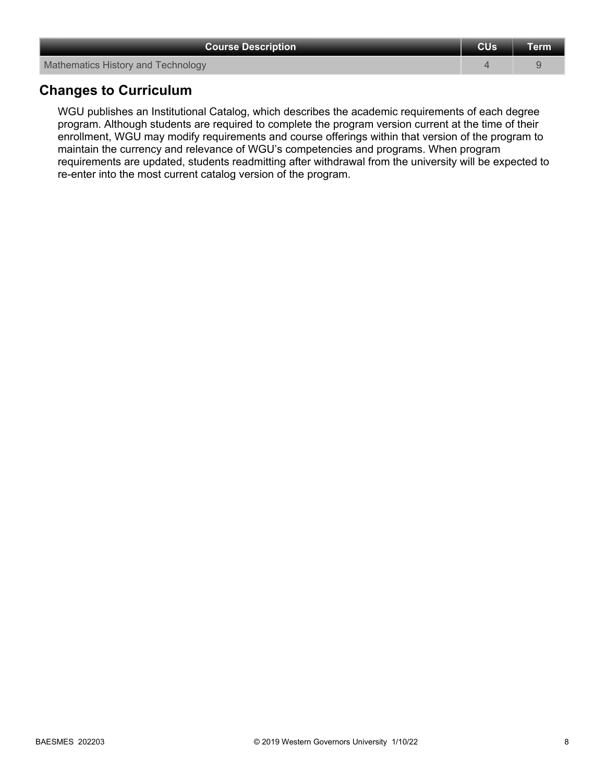| <b>Course Description</b>          | <b>CUs</b> | <b>Term</b> |
|------------------------------------|------------|-------------|
| Mathematics History and Technology |            |             |
| <b>Changes to Curriculum</b>       |            |             |

**Changes to Curriculum**

WGU publishes an Institutional Catalog, which describes the academic requirements of each degree program. Although students are required to complete the program version current at the time of their enrollment, WGU may modify requirements and course offerings within that version of the program to maintain the currency and relevance of WGU's competencies and programs. When program requirements are updated, students readmitting after withdrawal from the university will be expected to re-enter into the most current catalog version of the program.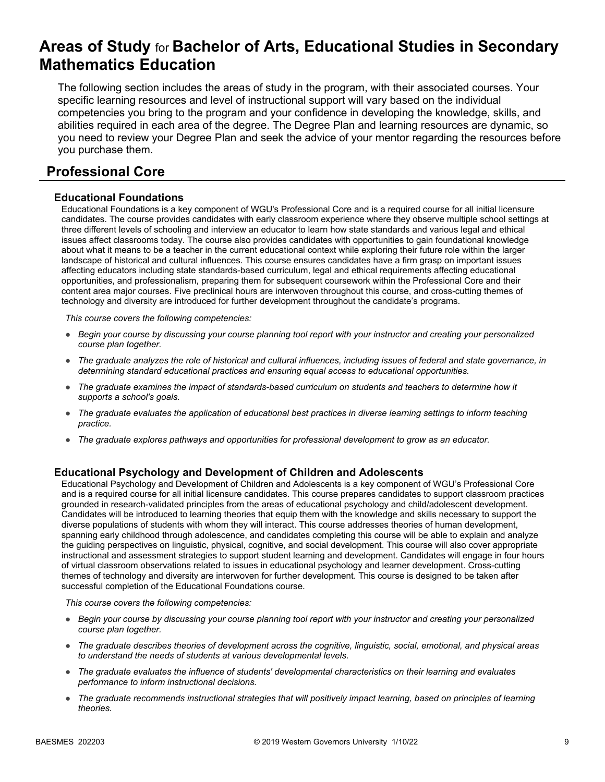# **Areas of Study** for **Bachelor of Arts, Educational Studies in Secondary Mathematics Education**

The following section includes the areas of study in the program, with their associated courses. Your specific learning resources and level of instructional support will vary based on the individual competencies you bring to the program and your confidence in developing the knowledge, skills, and abilities required in each area of the degree. The Degree Plan and learning resources are dynamic, so you need to review your Degree Plan and seek the advice of your mentor regarding the resources before you purchase them.

## **Professional Core**

### **Educational Foundations**

Educational Foundations is a key component of WGU's Professional Core and is a required course for all initial licensure candidates. The course provides candidates with early classroom experience where they observe multiple school settings at three different levels of schooling and interview an educator to learn how state standards and various legal and ethical issues affect classrooms today. The course also provides candidates with opportunities to gain foundational knowledge about what it means to be a teacher in the current educational context while exploring their future role within the larger landscape of historical and cultural influences. This course ensures candidates have a firm grasp on important issues affecting educators including state standards-based curriculum, legal and ethical requirements affecting educational opportunities, and professionalism, preparing them for subsequent coursework within the Professional Core and their content area major courses. Five preclinical hours are interwoven throughout this course, and cross-cutting themes of technology and diversity are introduced for further development throughout the candidate's programs.

*This course covers the following competencies:*

- *Begin your course by discussing your course planning tool report with your instructor and creating your personalized course plan together.*
- *The graduate analyzes the role of historical and cultural influences, including issues of federal and state governance, in determining standard educational practices and ensuring equal access to educational opportunities.*
- *The graduate examines the impact of standards-based curriculum on students and teachers to determine how it supports a school's goals.*
- *The graduate evaluates the application of educational best practices in diverse learning settings to inform teaching practice.*
- *The graduate explores pathways and opportunities for professional development to grow as an educator.*

### **Educational Psychology and Development of Children and Adolescents**

Educational Psychology and Development of Children and Adolescents is a key component of WGU's Professional Core and is a required course for all initial licensure candidates. This course prepares candidates to support classroom practices grounded in research-validated principles from the areas of educational psychology and child/adolescent development. Candidates will be introduced to learning theories that equip them with the knowledge and skills necessary to support the diverse populations of students with whom they will interact. This course addresses theories of human development, spanning early childhood through adolescence, and candidates completing this course will be able to explain and analyze the guiding perspectives on linguistic, physical, cognitive, and social development. This course will also cover appropriate instructional and assessment strategies to support student learning and development. Candidates will engage in four hours of virtual classroom observations related to issues in educational psychology and learner development. Cross-cutting themes of technology and diversity are interwoven for further development. This course is designed to be taken after successful completion of the Educational Foundations course.

- *Begin your course by discussing your course planning tool report with your instructor and creating your personalized course plan together.*
- *The graduate describes theories of development across the cognitive, linguistic, social, emotional, and physical areas to understand the needs of students at various developmental levels.*
- *The graduate evaluates the influence of students' developmental characteristics on their learning and evaluates performance to inform instructional decisions.*
- *The graduate recommends instructional strategies that will positively impact learning, based on principles of learning theories.*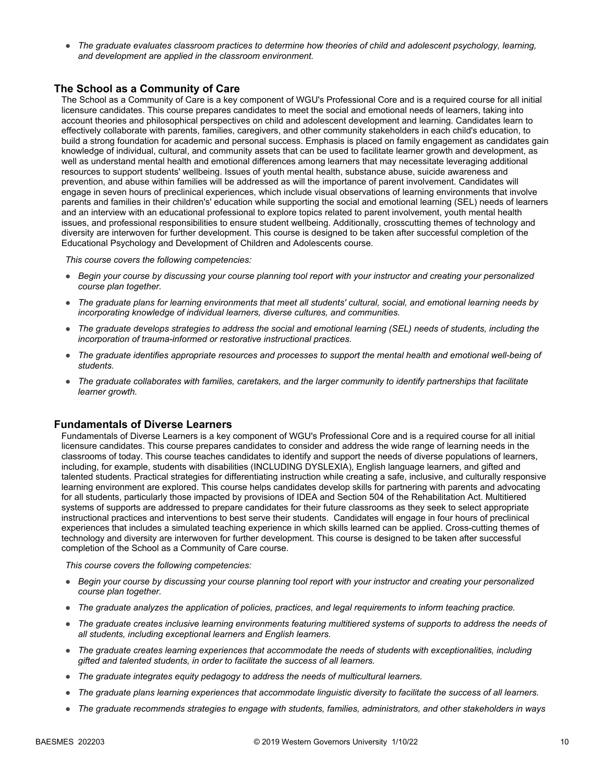● *The graduate evaluates classroom practices to determine how theories of child and adolescent psychology, learning, and development are applied in the classroom environment.*

### **The School as a Community of Care**

The School as a Community of Care is a key component of WGU's Professional Core and is a required course for all initial licensure candidates. This course prepares candidates to meet the social and emotional needs of learners, taking into account theories and philosophical perspectives on child and adolescent development and learning. Candidates learn to effectively collaborate with parents, families, caregivers, and other community stakeholders in each child's education, to build a strong foundation for academic and personal success. Emphasis is placed on family engagement as candidates gain knowledge of individual, cultural, and community assets that can be used to facilitate learner growth and development, as well as understand mental health and emotional differences among learners that may necessitate leveraging additional resources to support students' wellbeing. Issues of youth mental health, substance abuse, suicide awareness and prevention, and abuse within families will be addressed as will the importance of parent involvement. Candidates will engage in seven hours of preclinical experiences, which include visual observations of learning environments that involve parents and families in their children's' education while supporting the social and emotional learning (SEL) needs of learners and an interview with an educational professional to explore topics related to parent involvement, youth mental health issues, and professional responsibilities to ensure student wellbeing. Additionally, crosscutting themes of technology and diversity are interwoven for further development. This course is designed to be taken after successful completion of the Educational Psychology and Development of Children and Adolescents course.

*This course covers the following competencies:*

- *Begin your course by discussing your course planning tool report with your instructor and creating your personalized course plan together.*
- *The graduate plans for learning environments that meet all students' cultural, social, and emotional learning needs by incorporating knowledge of individual learners, diverse cultures, and communities.*
- *The graduate develops strategies to address the social and emotional learning (SEL) needs of students, including the incorporation of trauma-informed or restorative instructional practices.*
- *The graduate identifies appropriate resources and processes to support the mental health and emotional well-being of students.*
- *The graduate collaborates with families, caretakers, and the larger community to identify partnerships that facilitate learner growth.*

#### **Fundamentals of Diverse Learners**

Fundamentals of Diverse Learners is a key component of WGU's Professional Core and is a required course for all initial licensure candidates. This course prepares candidates to consider and address the wide range of learning needs in the classrooms of today. This course teaches candidates to identify and support the needs of diverse populations of learners, including, for example, students with disabilities (INCLUDING DYSLEXIA), English language learners, and gifted and talented students. Practical strategies for differentiating instruction while creating a safe, inclusive, and culturally responsive learning environment are explored. This course helps candidates develop skills for partnering with parents and advocating for all students, particularly those impacted by provisions of IDEA and Section 504 of the Rehabilitation Act. Multitiered systems of supports are addressed to prepare candidates for their future classrooms as they seek to select appropriate instructional practices and interventions to best serve their students. Candidates will engage in four hours of preclinical experiences that includes a simulated teaching experience in which skills learned can be applied. Cross-cutting themes of technology and diversity are interwoven for further development. This course is designed to be taken after successful completion of the School as a Community of Care course.

- *Begin your course by discussing your course planning tool report with your instructor and creating your personalized course plan together.*
- *The graduate analyzes the application of policies, practices, and legal requirements to inform teaching practice.*
- *The graduate creates inclusive learning environments featuring multitiered systems of supports to address the needs of all students, including exceptional learners and English learners.*
- *The graduate creates learning experiences that accommodate the needs of students with exceptionalities, including gifted and talented students, in order to facilitate the success of all learners.*
- *The graduate integrates equity pedagogy to address the needs of multicultural learners.*
- *The graduate plans learning experiences that accommodate linguistic diversity to facilitate the success of all learners.*
- *The graduate recommends strategies to engage with students, families, administrators, and other stakeholders in ways*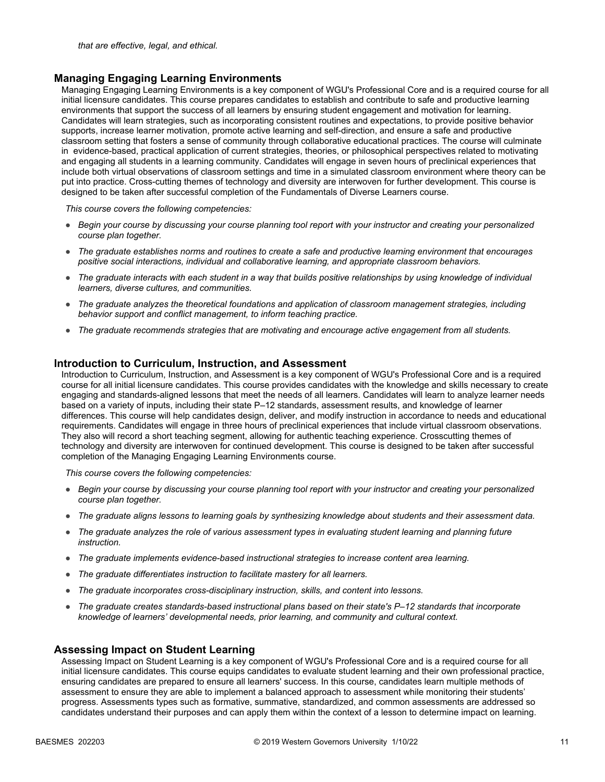#### **Managing Engaging Learning Environments**

Managing Engaging Learning Environments is a key component of WGU's Professional Core and is a required course for all initial licensure candidates. This course prepares candidates to establish and contribute to safe and productive learning environments that support the success of all learners by ensuring student engagement and motivation for learning. Candidates will learn strategies, such as incorporating consistent routines and expectations, to provide positive behavior supports, increase learner motivation, promote active learning and self-direction, and ensure a safe and productive classroom setting that fosters a sense of community through collaborative educational practices. The course will culminate in evidence-based, practical application of current strategies, theories, or philosophical perspectives related to motivating and engaging all students in a learning community. Candidates will engage in seven hours of preclinical experiences that include both virtual observations of classroom settings and time in a simulated classroom environment where theory can be put into practice. Cross-cutting themes of technology and diversity are interwoven for further development. This course is designed to be taken after successful completion of the Fundamentals of Diverse Learners course.

*This course covers the following competencies:*

- *Begin your course by discussing your course planning tool report with your instructor and creating your personalized course plan together.*
- *The graduate establishes norms and routines to create a safe and productive learning environment that encourages positive social interactions, individual and collaborative learning, and appropriate classroom behaviors.*
- *The graduate interacts with each student in a way that builds positive relationships by using knowledge of individual learners, diverse cultures, and communities.*
- *The graduate analyzes the theoretical foundations and application of classroom management strategies, including behavior support and conflict management, to inform teaching practice.*
- *The graduate recommends strategies that are motivating and encourage active engagement from all students.*

#### **Introduction to Curriculum, Instruction, and Assessment**

Introduction to Curriculum, Instruction, and Assessment is a key component of WGU's Professional Core and is a required course for all initial licensure candidates. This course provides candidates with the knowledge and skills necessary to create engaging and standards-aligned lessons that meet the needs of all learners. Candidates will learn to analyze learner needs based on a variety of inputs, including their state P–12 standards, assessment results, and knowledge of learner differences. This course will help candidates design, deliver, and modify instruction in accordance to needs and educational requirements. Candidates will engage in three hours of preclinical experiences that include virtual classroom observations. They also will record a short teaching segment, allowing for authentic teaching experience. Crosscutting themes of technology and diversity are interwoven for continued development. This course is designed to be taken after successful completion of the Managing Engaging Learning Environments course.

*This course covers the following competencies:*

- *Begin your course by discussing your course planning tool report with your instructor and creating your personalized course plan together.*
- *The graduate aligns lessons to learning goals by synthesizing knowledge about students and their assessment data.*
- *The graduate analyzes the role of various assessment types in evaluating student learning and planning future instruction.*
- *The graduate implements evidence-based instructional strategies to increase content area learning.*
- *The graduate differentiates instruction to facilitate mastery for all learners.*
- *The graduate incorporates cross-disciplinary instruction, skills, and content into lessons.*
- *The graduate creates standards-based instructional plans based on their state's P–12 standards that incorporate knowledge of learners' developmental needs, prior learning, and community and cultural context.*

#### **Assessing Impact on Student Learning**

Assessing Impact on Student Learning is a key component of WGU's Professional Core and is a required course for all initial licensure candidates. This course equips candidates to evaluate student learning and their own professional practice, ensuring candidates are prepared to ensure all learners' success. In this course, candidates learn multiple methods of assessment to ensure they are able to implement a balanced approach to assessment while monitoring their students' progress. Assessments types such as formative, summative, standardized, and common assessments are addressed so candidates understand their purposes and can apply them within the context of a lesson to determine impact on learning.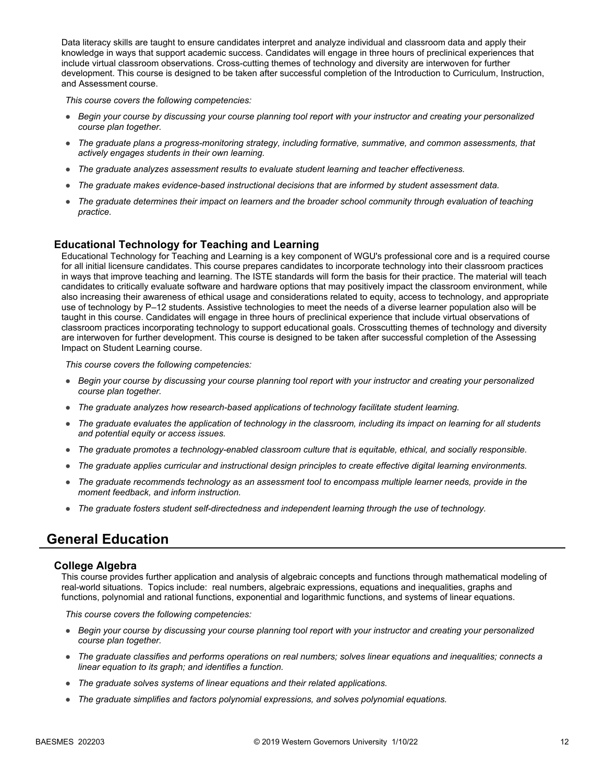Data literacy skills are taught to ensure candidates interpret and analyze individual and classroom data and apply their knowledge in ways that support academic success. Candidates will engage in three hours of preclinical experiences that include virtual classroom observations. Cross-cutting themes of technology and diversity are interwoven for further development. This course is designed to be taken after successful completion of the Introduction to Curriculum, Instruction, and Assessment course.

*This course covers the following competencies:*

- *Begin your course by discussing your course planning tool report with your instructor and creating your personalized course plan together.*
- *The graduate plans a progress-monitoring strategy, including formative, summative, and common assessments, that actively engages students in their own learning.*
- *The graduate analyzes assessment results to evaluate student learning and teacher effectiveness.*
- *The graduate makes evidence-based instructional decisions that are informed by student assessment data.*
- *The graduate determines their impact on learners and the broader school community through evaluation of teaching practice.*

### **Educational Technology for Teaching and Learning**

Educational Technology for Teaching and Learning is a key component of WGU's professional core and is a required course for all initial licensure candidates. This course prepares candidates to incorporate technology into their classroom practices in ways that improve teaching and learning. The ISTE standards will form the basis for their practice. The material will teach candidates to critically evaluate software and hardware options that may positively impact the classroom environment, while also increasing their awareness of ethical usage and considerations related to equity, access to technology, and appropriate use of technology by P–12 students. Assistive technologies to meet the needs of a diverse learner population also will be taught in this course. Candidates will engage in three hours of preclinical experience that include virtual observations of classroom practices incorporating technology to support educational goals. Crosscutting themes of technology and diversity are interwoven for further development. This course is designed to be taken after successful completion of the Assessing Impact on Student Learning course.

*This course covers the following competencies:*

- *Begin your course by discussing your course planning tool report with your instructor and creating your personalized course plan together.*
- *The graduate analyzes how research-based applications of technology facilitate student learning.*
- *The graduate evaluates the application of technology in the classroom, including its impact on learning for all students and potential equity or access issues.*
- *The graduate promotes a technology-enabled classroom culture that is equitable, ethical, and socially responsible.*
- *The graduate applies curricular and instructional design principles to create effective digital learning environments.*
- *The graduate recommends technology as an assessment tool to encompass multiple learner needs, provide in the moment feedback, and inform instruction.*
- *The graduate fosters student self-directedness and independent learning through the use of technology.*

### **General Education**

#### **College Algebra**

This course provides further application and analysis of algebraic concepts and functions through mathematical modeling of real-world situations. Topics include: real numbers, algebraic expressions, equations and inequalities, graphs and functions, polynomial and rational functions, exponential and logarithmic functions, and systems of linear equations.

- *Begin your course by discussing your course planning tool report with your instructor and creating your personalized course plan together.*
- *The graduate classifies and performs operations on real numbers; solves linear equations and inequalities; connects a linear equation to its graph; and identifies a function.*
- *The graduate solves systems of linear equations and their related applications.*
- *The graduate simplifies and factors polynomial expressions, and solves polynomial equations.*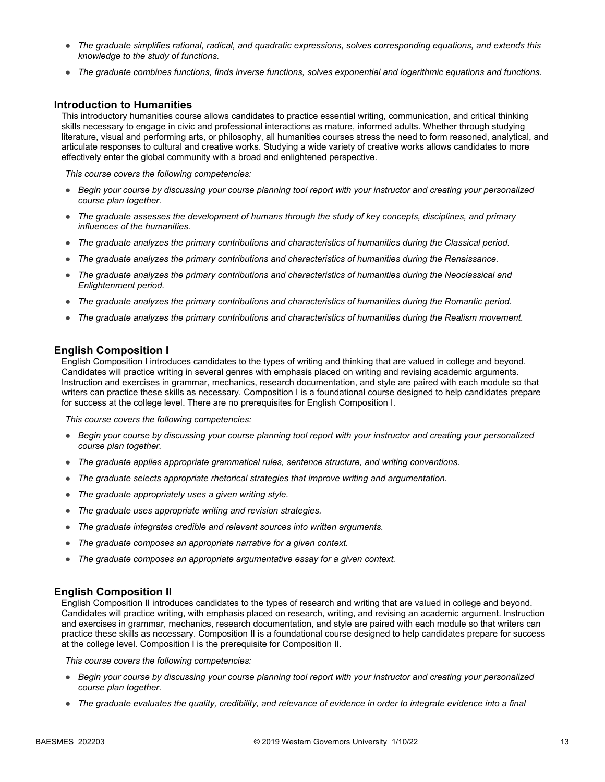- *The graduate simplifies rational, radical, and quadratic expressions, solves corresponding equations, and extends this knowledge to the study of functions.*
- *The graduate combines functions, finds inverse functions, solves exponential and logarithmic equations and functions.*

#### **Introduction to Humanities**

This introductory humanities course allows candidates to practice essential writing, communication, and critical thinking skills necessary to engage in civic and professional interactions as mature, informed adults. Whether through studying literature, visual and performing arts, or philosophy, all humanities courses stress the need to form reasoned, analytical, and articulate responses to cultural and creative works. Studying a wide variety of creative works allows candidates to more effectively enter the global community with a broad and enlightened perspective.

*This course covers the following competencies:*

- *Begin your course by discussing your course planning tool report with your instructor and creating your personalized course plan together.*
- *The graduate assesses the development of humans through the study of key concepts, disciplines, and primary influences of the humanities.*
- *The graduate analyzes the primary contributions and characteristics of humanities during the Classical period.*
- *The graduate analyzes the primary contributions and characteristics of humanities during the Renaissance.*
- *The graduate analyzes the primary contributions and characteristics of humanities during the Neoclassical and Enlightenment period.*
- *The graduate analyzes the primary contributions and characteristics of humanities during the Romantic period.*
- *The graduate analyzes the primary contributions and characteristics of humanities during the Realism movement.*

#### **English Composition I**

English Composition I introduces candidates to the types of writing and thinking that are valued in college and beyond. Candidates will practice writing in several genres with emphasis placed on writing and revising academic arguments. Instruction and exercises in grammar, mechanics, research documentation, and style are paired with each module so that writers can practice these skills as necessary. Composition I is a foundational course designed to help candidates prepare for success at the college level. There are no prerequisites for English Composition I.

*This course covers the following competencies:*

- *Begin your course by discussing your course planning tool report with your instructor and creating your personalized course plan together.*
- *The graduate applies appropriate grammatical rules, sentence structure, and writing conventions.*
- *The graduate selects appropriate rhetorical strategies that improve writing and argumentation.*
- *The graduate appropriately uses a given writing style.*
- *The graduate uses appropriate writing and revision strategies.*
- *The graduate integrates credible and relevant sources into written arguments.*
- *The graduate composes an appropriate narrative for a given context.*
- *The graduate composes an appropriate argumentative essay for a given context.*

#### **English Composition II**

English Composition II introduces candidates to the types of research and writing that are valued in college and beyond. Candidates will practice writing, with emphasis placed on research, writing, and revising an academic argument. Instruction and exercises in grammar, mechanics, research documentation, and style are paired with each module so that writers can practice these skills as necessary. Composition II is a foundational course designed to help candidates prepare for success at the college level. Composition I is the prerequisite for Composition II.

- *Begin your course by discussing your course planning tool report with your instructor and creating your personalized course plan together.*
- *The graduate evaluates the quality, credibility, and relevance of evidence in order to integrate evidence into a final*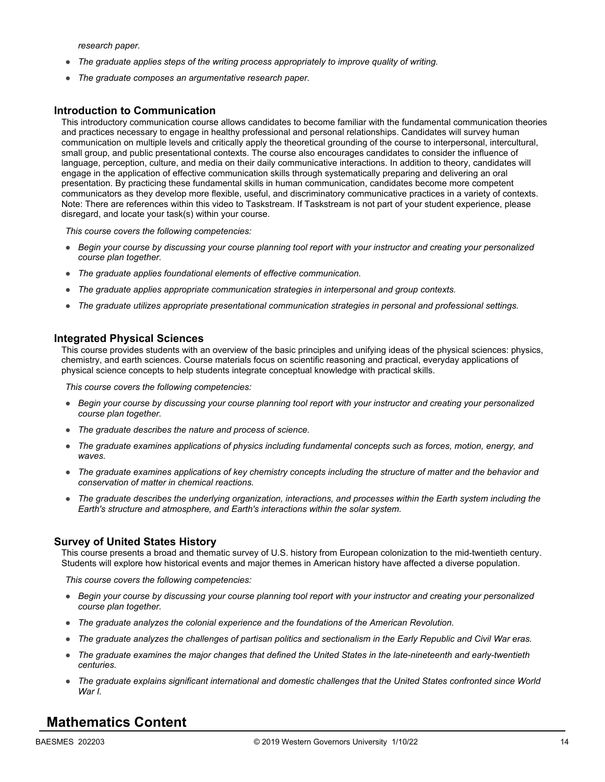*research paper.*

- *The graduate applies steps of the writing process appropriately to improve quality of writing.*
- *The graduate composes an argumentative research paper.*

#### **Introduction to Communication**

This introductory communication course allows candidates to become familiar with the fundamental communication theories and practices necessary to engage in healthy professional and personal relationships. Candidates will survey human communication on multiple levels and critically apply the theoretical grounding of the course to interpersonal, intercultural, small group, and public presentational contexts. The course also encourages candidates to consider the influence of language, perception, culture, and media on their daily communicative interactions. In addition to theory, candidates will engage in the application of effective communication skills through systematically preparing and delivering an oral presentation. By practicing these fundamental skills in human communication, candidates become more competent communicators as they develop more flexible, useful, and discriminatory communicative practices in a variety of contexts. Note: There are references within this video to Taskstream. If Taskstream is not part of your student experience, please disregard, and locate your task(s) within your course.

*This course covers the following competencies:*

- *Begin your course by discussing your course planning tool report with your instructor and creating your personalized course plan together.*
- *The graduate applies foundational elements of effective communication.*
- *The graduate applies appropriate communication strategies in interpersonal and group contexts.*
- *The graduate utilizes appropriate presentational communication strategies in personal and professional settings.*

#### **Integrated Physical Sciences**

This course provides students with an overview of the basic principles and unifying ideas of the physical sciences: physics, chemistry, and earth sciences. Course materials focus on scientific reasoning and practical, everyday applications of physical science concepts to help students integrate conceptual knowledge with practical skills.

*This course covers the following competencies:*

- *Begin your course by discussing your course planning tool report with your instructor and creating your personalized course plan together.*
- *The graduate describes the nature and process of science.*
- *The graduate examines applications of physics including fundamental concepts such as forces, motion, energy, and waves.*
- *The graduate examines applications of key chemistry concepts including the structure of matter and the behavior and conservation of matter in chemical reactions.*
- *The graduate describes the underlying organization, interactions, and processes within the Earth system including the Earth's structure and atmosphere, and Earth's interactions within the solar system.*

#### **Survey of United States History**

This course presents a broad and thematic survey of U.S. history from European colonization to the mid-twentieth century. Students will explore how historical events and major themes in American history have affected a diverse population.

*This course covers the following competencies:*

- *Begin your course by discussing your course planning tool report with your instructor and creating your personalized course plan together.*
- *The graduate analyzes the colonial experience and the foundations of the American Revolution.*
- *The graduate analyzes the challenges of partisan politics and sectionalism in the Early Republic and Civil War eras.*
- *The graduate examines the major changes that defined the United States in the late-nineteenth and early-twentieth centuries.*
- *The graduate explains significant international and domestic challenges that the United States confronted since World War I.*

### **Mathematics Content**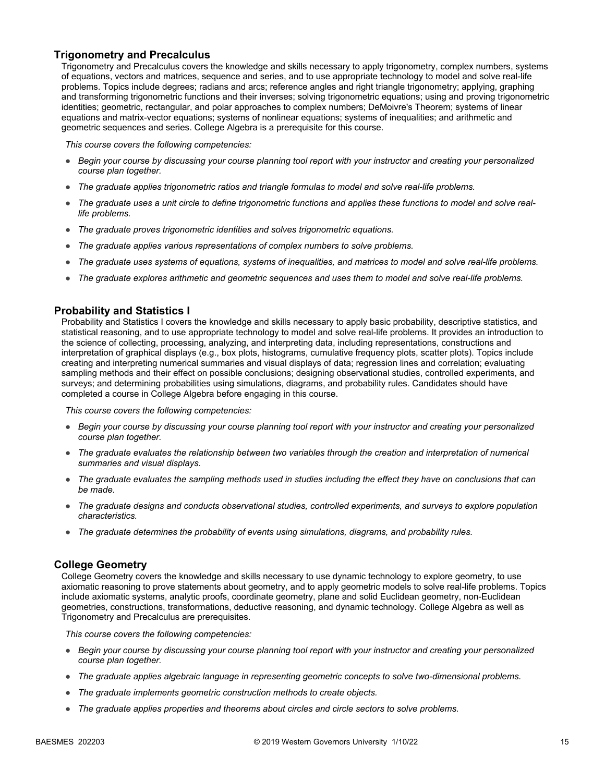### **Trigonometry and Precalculus**

Trigonometry and Precalculus covers the knowledge and skills necessary to apply trigonometry, complex numbers, systems of equations, vectors and matrices, sequence and series, and to use appropriate technology to model and solve real-life problems. Topics include degrees; radians and arcs; reference angles and right triangle trigonometry; applying, graphing and transforming trigonometric functions and their inverses; solving trigonometric equations; using and proving trigonometric identities; geometric, rectangular, and polar approaches to complex numbers; DeMoivre's Theorem; systems of linear equations and matrix-vector equations; systems of nonlinear equations; systems of inequalities; and arithmetic and geometric sequences and series. College Algebra is a prerequisite for this course.

*This course covers the following competencies:*

- *Begin your course by discussing your course planning tool report with your instructor and creating your personalized course plan together.*
- The graduate applies trigonometric ratios and triangle formulas to model and solve real-life problems.
- *The graduate uses a unit circle to define trigonometric functions and applies these functions to model and solve reallife problems.*
- *The graduate proves trigonometric identities and solves trigonometric equations.*
- *The graduate applies various representations of complex numbers to solve problems.*
- *The graduate uses systems of equations, systems of inequalities, and matrices to model and solve real-life problems.*
- *The graduate explores arithmetic and geometric sequences and uses them to model and solve real-life problems.*

#### **Probability and Statistics I**

Probability and Statistics I covers the knowledge and skills necessary to apply basic probability, descriptive statistics, and statistical reasoning, and to use appropriate technology to model and solve real-life problems. It provides an introduction to the science of collecting, processing, analyzing, and interpreting data, including representations, constructions and interpretation of graphical displays (e.g., box plots, histograms, cumulative frequency plots, scatter plots). Topics include creating and interpreting numerical summaries and visual displays of data; regression lines and correlation; evaluating sampling methods and their effect on possible conclusions; designing observational studies, controlled experiments, and surveys; and determining probabilities using simulations, diagrams, and probability rules. Candidates should have completed a course in College Algebra before engaging in this course.

*This course covers the following competencies:*

- *Begin your course by discussing your course planning tool report with your instructor and creating your personalized course plan together.*
- *The graduate evaluates the relationship between two variables through the creation and interpretation of numerical summaries and visual displays.*
- *The graduate evaluates the sampling methods used in studies including the effect they have on conclusions that can be made.*
- *The graduate designs and conducts observational studies, controlled experiments, and surveys to explore population characteristics.*
- *The graduate determines the probability of events using simulations, diagrams, and probability rules.*

#### **College Geometry**

College Geometry covers the knowledge and skills necessary to use dynamic technology to explore geometry, to use axiomatic reasoning to prove statements about geometry, and to apply geometric models to solve real-life problems. Topics include axiomatic systems, analytic proofs, coordinate geometry, plane and solid Euclidean geometry, non-Euclidean geometries, constructions, transformations, deductive reasoning, and dynamic technology. College Algebra as well as Trigonometry and Precalculus are prerequisites.

- *Begin your course by discussing your course planning tool report with your instructor and creating your personalized course plan together.*
- *The graduate applies algebraic language in representing geometric concepts to solve two-dimensional problems.*
- *The graduate implements geometric construction methods to create objects.*
- *The graduate applies properties and theorems about circles and circle sectors to solve problems.*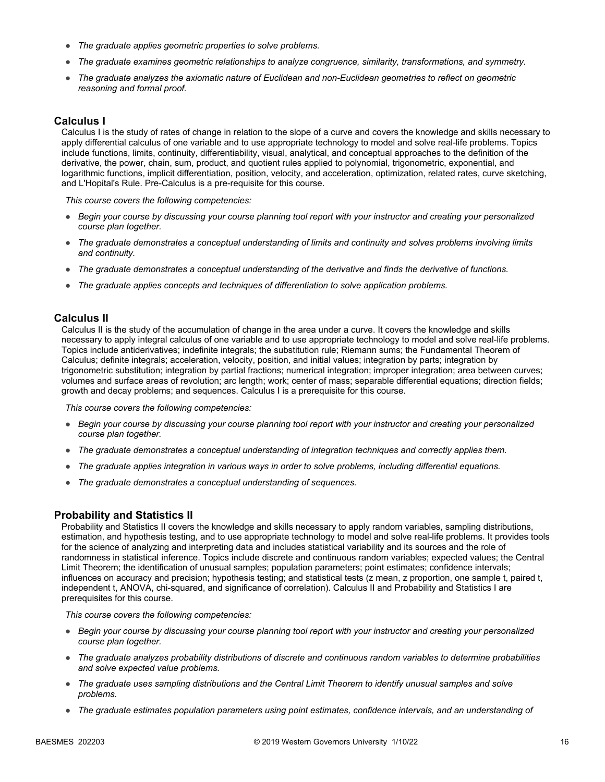- *The graduate applies geometric properties to solve problems.*
- *The graduate examines geometric relationships to analyze congruence, similarity, transformations, and symmetry.*
- *The graduate analyzes the axiomatic nature of Euclidean and non-Euclidean geometries to reflect on geometric reasoning and formal proof.*

#### **Calculus I**

Calculus I is the study of rates of change in relation to the slope of a curve and covers the knowledge and skills necessary to apply differential calculus of one variable and to use appropriate technology to model and solve real-life problems. Topics include functions, limits, continuity, differentiability, visual, analytical, and conceptual approaches to the definition of the derivative, the power, chain, sum, product, and quotient rules applied to polynomial, trigonometric, exponential, and logarithmic functions, implicit differentiation, position, velocity, and acceleration, optimization, related rates, curve sketching, and L'Hopital's Rule. Pre-Calculus is a pre-requisite for this course.

*This course covers the following competencies:*

- *Begin your course by discussing your course planning tool report with your instructor and creating your personalized course plan together.*
- *The graduate demonstrates a conceptual understanding of limits and continuity and solves problems involving limits and continuity.*
- *The graduate demonstrates a conceptual understanding of the derivative and finds the derivative of functions.*
- *The graduate applies concepts and techniques of differentiation to solve application problems.*

#### **Calculus II**

Calculus II is the study of the accumulation of change in the area under a curve. It covers the knowledge and skills necessary to apply integral calculus of one variable and to use appropriate technology to model and solve real-life problems. Topics include antiderivatives; indefinite integrals; the substitution rule; Riemann sums; the Fundamental Theorem of Calculus; definite integrals; acceleration, velocity, position, and initial values; integration by parts; integration by trigonometric substitution; integration by partial fractions; numerical integration; improper integration; area between curves; volumes and surface areas of revolution; arc length; work; center of mass; separable differential equations; direction fields; growth and decay problems; and sequences. Calculus I is a prerequisite for this course.

*This course covers the following competencies:*

- *Begin your course by discussing your course planning tool report with your instructor and creating your personalized course plan together.*
- *The graduate demonstrates a conceptual understanding of integration techniques and correctly applies them.*
- *The graduate applies integration in various ways in order to solve problems, including differential equations.*
- *The graduate demonstrates a conceptual understanding of sequences.*

#### **Probability and Statistics II**

Probability and Statistics II covers the knowledge and skills necessary to apply random variables, sampling distributions, estimation, and hypothesis testing, and to use appropriate technology to model and solve real-life problems. It provides tools for the science of analyzing and interpreting data and includes statistical variability and its sources and the role of randomness in statistical inference. Topics include discrete and continuous random variables; expected values; the Central Limit Theorem; the identification of unusual samples; population parameters; point estimates; confidence intervals; influences on accuracy and precision; hypothesis testing; and statistical tests (z mean, z proportion, one sample t, paired t, independent t, ANOVA, chi-squared, and significance of correlation). Calculus II and Probability and Statistics I are prerequisites for this course.

- *Begin your course by discussing your course planning tool report with your instructor and creating your personalized course plan together.*
- *The graduate analyzes probability distributions of discrete and continuous random variables to determine probabilities and solve expected value problems.*
- *The graduate uses sampling distributions and the Central Limit Theorem to identify unusual samples and solve problems.*
- *The graduate estimates population parameters using point estimates, confidence intervals, and an understanding of*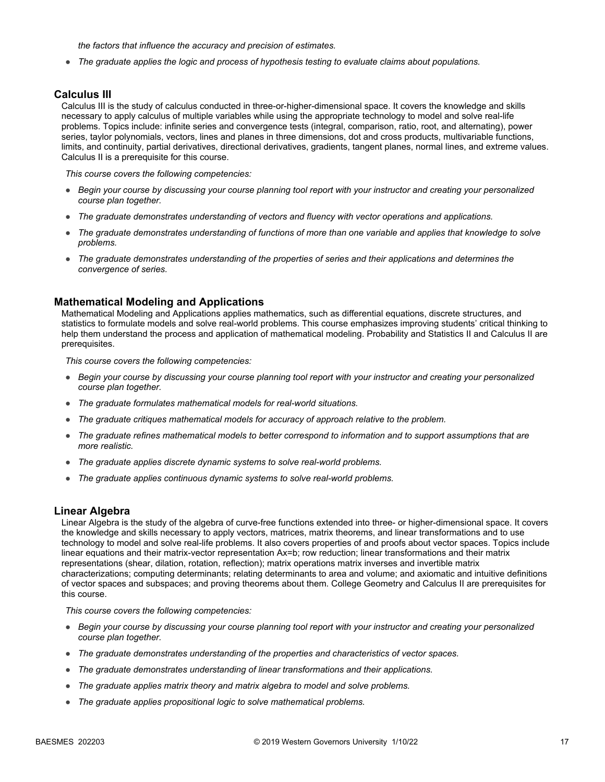*the factors that influence the accuracy and precision of estimates.*

● *The graduate applies the logic and process of hypothesis testing to evaluate claims about populations.*

#### **Calculus III**

Calculus III is the study of calculus conducted in three-or-higher-dimensional space. It covers the knowledge and skills necessary to apply calculus of multiple variables while using the appropriate technology to model and solve real-life problems. Topics include: infinite series and convergence tests (integral, comparison, ratio, root, and alternating), power series, taylor polynomials, vectors, lines and planes in three dimensions, dot and cross products, multivariable functions, limits, and continuity, partial derivatives, directional derivatives, gradients, tangent planes, normal lines, and extreme values. Calculus II is a prerequisite for this course.

*This course covers the following competencies:*

- *Begin your course by discussing your course planning tool report with your instructor and creating your personalized course plan together.*
- *The graduate demonstrates understanding of vectors and fluency with vector operations and applications.*
- *The graduate demonstrates understanding of functions of more than one variable and applies that knowledge to solve problems.*
- *The graduate demonstrates understanding of the properties of series and their applications and determines the convergence of series.*

#### **Mathematical Modeling and Applications**

Mathematical Modeling and Applications applies mathematics, such as differential equations, discrete structures, and statistics to formulate models and solve real-world problems. This course emphasizes improving students' critical thinking to help them understand the process and application of mathematical modeling. Probability and Statistics II and Calculus II are prerequisites.

*This course covers the following competencies:*

- *Begin your course by discussing your course planning tool report with your instructor and creating your personalized course plan together.*
- *The graduate formulates mathematical models for real-world situations.*
- *The graduate critiques mathematical models for accuracy of approach relative to the problem.*
- *The graduate refines mathematical models to better correspond to information and to support assumptions that are more realistic.*
- *The graduate applies discrete dynamic systems to solve real-world problems.*
- *The graduate applies continuous dynamic systems to solve real-world problems.*

#### **Linear Algebra**

Linear Algebra is the study of the algebra of curve-free functions extended into three- or higher-dimensional space. It covers the knowledge and skills necessary to apply vectors, matrices, matrix theorems, and linear transformations and to use technology to model and solve real-life problems. It also covers properties of and proofs about vector spaces. Topics include linear equations and their matrix-vector representation Ax=b; row reduction; linear transformations and their matrix representations (shear, dilation, rotation, reflection); matrix operations matrix inverses and invertible matrix characterizations; computing determinants; relating determinants to area and volume; and axiomatic and intuitive definitions of vector spaces and subspaces; and proving theorems about them. College Geometry and Calculus II are prerequisites for this course.

- *Begin your course by discussing your course planning tool report with your instructor and creating your personalized course plan together.*
- *The graduate demonstrates understanding of the properties and characteristics of vector spaces.*
- *The graduate demonstrates understanding of linear transformations and their applications.*
- *The graduate applies matrix theory and matrix algebra to model and solve problems.*
- *The graduate applies propositional logic to solve mathematical problems.*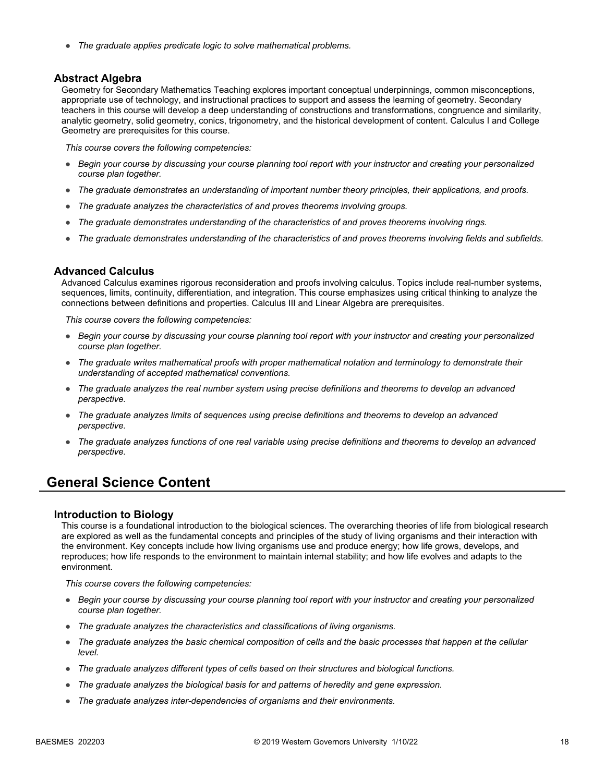● *The graduate applies predicate logic to solve mathematical problems.*

#### **Abstract Algebra**

Geometry for Secondary Mathematics Teaching explores important conceptual underpinnings, common misconceptions, appropriate use of technology, and instructional practices to support and assess the learning of geometry. Secondary teachers in this course will develop a deep understanding of constructions and transformations, congruence and similarity, analytic geometry, solid geometry, conics, trigonometry, and the historical development of content. Calculus I and College Geometry are prerequisites for this course.

*This course covers the following competencies:*

- *Begin your course by discussing your course planning tool report with your instructor and creating your personalized course plan together.*
- *The graduate demonstrates an understanding of important number theory principles, their applications, and proofs.*
- *The graduate analyzes the characteristics of and proves theorems involving groups.*
- *The graduate demonstrates understanding of the characteristics of and proves theorems involving rings.*
- *The graduate demonstrates understanding of the characteristics of and proves theorems involving fields and subfields.*

#### **Advanced Calculus**

Advanced Calculus examines rigorous reconsideration and proofs involving calculus. Topics include real-number systems, sequences, limits, continuity, differentiation, and integration. This course emphasizes using critical thinking to analyze the connections between definitions and properties. Calculus III and Linear Algebra are prerequisites.

*This course covers the following competencies:*

- *Begin your course by discussing your course planning tool report with your instructor and creating your personalized course plan together.*
- *The graduate writes mathematical proofs with proper mathematical notation and terminology to demonstrate their understanding of accepted mathematical conventions.*
- *The graduate analyzes the real number system using precise definitions and theorems to develop an advanced perspective.*
- *The graduate analyzes limits of sequences using precise definitions and theorems to develop an advanced perspective.*
- *The graduate analyzes functions of one real variable using precise definitions and theorems to develop an advanced perspective.*

### **General Science Content**

#### **Introduction to Biology**

This course is a foundational introduction to the biological sciences. The overarching theories of life from biological research are explored as well as the fundamental concepts and principles of the study of living organisms and their interaction with the environment. Key concepts include how living organisms use and produce energy; how life grows, develops, and reproduces; how life responds to the environment to maintain internal stability; and how life evolves and adapts to the environment.

- *Begin your course by discussing your course planning tool report with your instructor and creating your personalized course plan together.*
- *The graduate analyzes the characteristics and classifications of living organisms.*
- *The graduate analyzes the basic chemical composition of cells and the basic processes that happen at the cellular level.*
- *The graduate analyzes different types of cells based on their structures and biological functions.*
- *The graduate analyzes the biological basis for and patterns of heredity and gene expression.*
- *The graduate analyzes inter-dependencies of organisms and their environments.*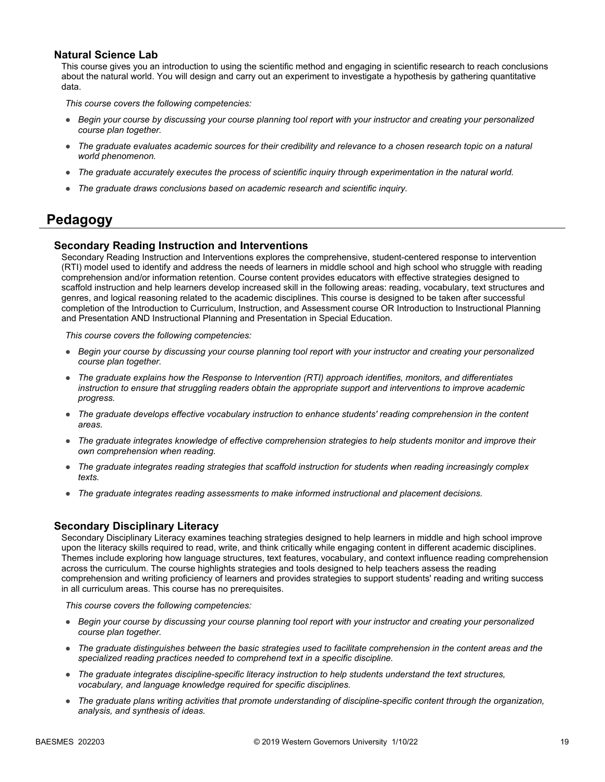### **Natural Science Lab**

This course gives you an introduction to using the scientific method and engaging in scientific research to reach conclusions about the natural world. You will design and carry out an experiment to investigate a hypothesis by gathering quantitative data.

*This course covers the following competencies:*

- *Begin your course by discussing your course planning tool report with your instructor and creating your personalized course plan together.*
- The graduate evaluates academic sources for their credibility and relevance to a chosen research topic on a natural *world phenomenon.*
- *The graduate accurately executes the process of scientific inquiry through experimentation in the natural world.*
- *The graduate draws conclusions based on academic research and scientific inquiry.*

### **Pedagogy**

### **Secondary Reading Instruction and Interventions**

Secondary Reading Instruction and Interventions explores the comprehensive, student-centered response to intervention (RTI) model used to identify and address the needs of learners in middle school and high school who struggle with reading comprehension and/or information retention. Course content provides educators with effective strategies designed to scaffold instruction and help learners develop increased skill in the following areas: reading, vocabulary, text structures and genres, and logical reasoning related to the academic disciplines. This course is designed to be taken after successful completion of the Introduction to Curriculum, Instruction, and Assessment course OR Introduction to Instructional Planning and Presentation AND Instructional Planning and Presentation in Special Education.

*This course covers the following competencies:*

- *Begin your course by discussing your course planning tool report with your instructor and creating your personalized course plan together.*
- *The graduate explains how the Response to Intervention (RTI) approach identifies, monitors, and differentiates instruction to ensure that struggling readers obtain the appropriate support and interventions to improve academic progress.*
- *The graduate develops effective vocabulary instruction to enhance students' reading comprehension in the content areas.*
- *The graduate integrates knowledge of effective comprehension strategies to help students monitor and improve their own comprehension when reading.*
- *The graduate integrates reading strategies that scaffold instruction for students when reading increasingly complex texts.*
- *The graduate integrates reading assessments to make informed instructional and placement decisions.*

#### **Secondary Disciplinary Literacy**

Secondary Disciplinary Literacy examines teaching strategies designed to help learners in middle and high school improve upon the literacy skills required to read, write, and think critically while engaging content in different academic disciplines. Themes include exploring how language structures, text features, vocabulary, and context influence reading comprehension across the curriculum. The course highlights strategies and tools designed to help teachers assess the reading comprehension and writing proficiency of learners and provides strategies to support students' reading and writing success in all curriculum areas. This course has no prerequisites.

- *Begin your course by discussing your course planning tool report with your instructor and creating your personalized course plan together.*
- *The graduate distinguishes between the basic strategies used to facilitate comprehension in the content areas and the specialized reading practices needed to comprehend text in a specific discipline.*
- *The graduate integrates discipline-specific literacy instruction to help students understand the text structures, vocabulary, and language knowledge required for specific disciplines.*
- *The graduate plans writing activities that promote understanding of discipline-specific content through the organization, analysis, and synthesis of ideas.*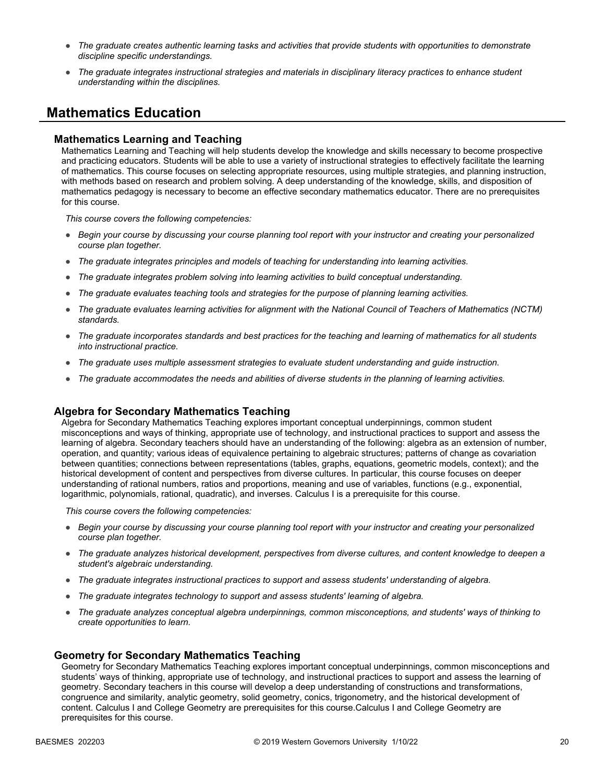- *The graduate creates authentic learning tasks and activities that provide students with opportunities to demonstrate discipline specific understandings.*
- *The graduate integrates instructional strategies and materials in disciplinary literacy practices to enhance student understanding within the disciplines.*

## **Mathematics Education**

#### **Mathematics Learning and Teaching**

Mathematics Learning and Teaching will help students develop the knowledge and skills necessary to become prospective and practicing educators. Students will be able to use a variety of instructional strategies to effectively facilitate the learning of mathematics. This course focuses on selecting appropriate resources, using multiple strategies, and planning instruction, with methods based on research and problem solving. A deep understanding of the knowledge, skills, and disposition of mathematics pedagogy is necessary to become an effective secondary mathematics educator. There are no prerequisites for this course.

*This course covers the following competencies:*

- *Begin your course by discussing your course planning tool report with your instructor and creating your personalized course plan together.*
- *The graduate integrates principles and models of teaching for understanding into learning activities.*
- *The graduate integrates problem solving into learning activities to build conceptual understanding.*
- *The graduate evaluates teaching tools and strategies for the purpose of planning learning activities.*
- *The graduate evaluates learning activities for alignment with the National Council of Teachers of Mathematics (NCTM) standards.*
- *The graduate incorporates standards and best practices for the teaching and learning of mathematics for all students into instructional practice.*
- *The graduate uses multiple assessment strategies to evaluate student understanding and guide instruction.*
- *The graduate accommodates the needs and abilities of diverse students in the planning of learning activities.*

#### **Algebra for Secondary Mathematics Teaching**

Algebra for Secondary Mathematics Teaching explores important conceptual underpinnings, common student misconceptions and ways of thinking, appropriate use of technology, and instructional practices to support and assess the learning of algebra. Secondary teachers should have an understanding of the following: algebra as an extension of number, operation, and quantity; various ideas of equivalence pertaining to algebraic structures; patterns of change as covariation between quantities; connections between representations (tables, graphs, equations, geometric models, context); and the historical development of content and perspectives from diverse cultures. In particular, this course focuses on deeper understanding of rational numbers, ratios and proportions, meaning and use of variables, functions (e.g., exponential, logarithmic, polynomials, rational, quadratic), and inverses. Calculus I is a prerequisite for this course.

*This course covers the following competencies:*

- *Begin your course by discussing your course planning tool report with your instructor and creating your personalized course plan together.*
- *The graduate analyzes historical development, perspectives from diverse cultures, and content knowledge to deepen a student's algebraic understanding.*
- *The graduate integrates instructional practices to support and assess students' understanding of algebra.*
- *The graduate integrates technology to support and assess students' learning of algebra.*
- *The graduate analyzes conceptual algebra underpinnings, common misconceptions, and students' ways of thinking to create opportunities to learn.*

#### **Geometry for Secondary Mathematics Teaching**

Geometry for Secondary Mathematics Teaching explores important conceptual underpinnings, common misconceptions and students' ways of thinking, appropriate use of technology, and instructional practices to support and assess the learning of geometry. Secondary teachers in this course will develop a deep understanding of constructions and transformations, congruence and similarity, analytic geometry, solid geometry, conics, trigonometry, and the historical development of content. Calculus I and College Geometry are prerequisites for this course.Calculus I and College Geometry are prerequisites for this course.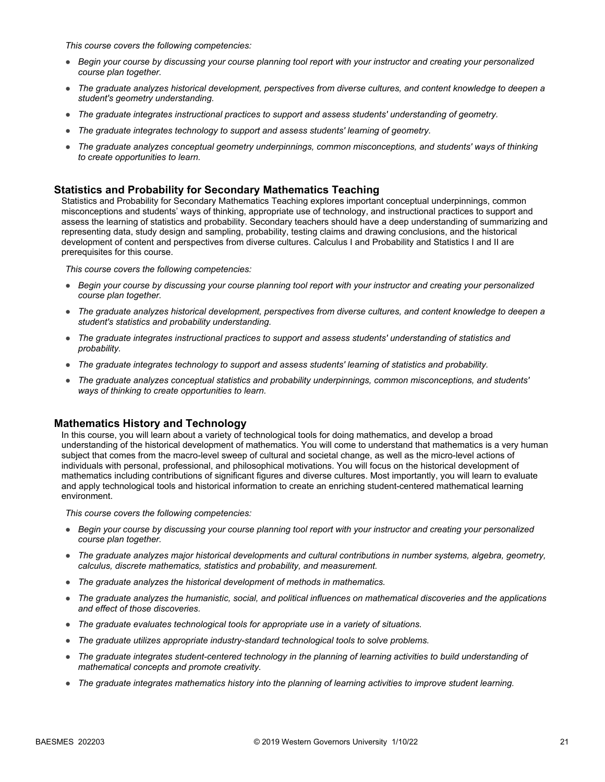*This course covers the following competencies:*

- *Begin your course by discussing your course planning tool report with your instructor and creating your personalized course plan together.*
- *The graduate analyzes historical development, perspectives from diverse cultures, and content knowledge to deepen a student's geometry understanding.*
- *The graduate integrates instructional practices to support and assess students' understanding of geometry.*
- *The graduate integrates technology to support and assess students' learning of geometry.*
- *The graduate analyzes conceptual geometry underpinnings, common misconceptions, and students' ways of thinking to create opportunities to learn.*

### **Statistics and Probability for Secondary Mathematics Teaching**

Statistics and Probability for Secondary Mathematics Teaching explores important conceptual underpinnings, common misconceptions and students' ways of thinking, appropriate use of technology, and instructional practices to support and assess the learning of statistics and probability. Secondary teachers should have a deep understanding of summarizing and representing data, study design and sampling, probability, testing claims and drawing conclusions, and the historical development of content and perspectives from diverse cultures. Calculus I and Probability and Statistics I and II are prerequisites for this course.

*This course covers the following competencies:*

- *Begin your course by discussing your course planning tool report with your instructor and creating your personalized course plan together.*
- *The graduate analyzes historical development, perspectives from diverse cultures, and content knowledge to deepen a student's statistics and probability understanding.*
- *The graduate integrates instructional practices to support and assess students' understanding of statistics and probability.*
- *The graduate integrates technology to support and assess students' learning of statistics and probability.*
- *The graduate analyzes conceptual statistics and probability underpinnings, common misconceptions, and students' ways of thinking to create opportunities to learn.*

### **Mathematics History and Technology**

In this course, you will learn about a variety of technological tools for doing mathematics, and develop a broad understanding of the historical development of mathematics. You will come to understand that mathematics is a very human subject that comes from the macro-level sweep of cultural and societal change, as well as the micro-level actions of individuals with personal, professional, and philosophical motivations. You will focus on the historical development of mathematics including contributions of significant figures and diverse cultures. Most importantly, you will learn to evaluate and apply technological tools and historical information to create an enriching student-centered mathematical learning environment.

- *Begin your course by discussing your course planning tool report with your instructor and creating your personalized course plan together.*
- *The graduate analyzes major historical developments and cultural contributions in number systems, algebra, geometry, calculus, discrete mathematics, statistics and probability, and measurement.*
- *The graduate analyzes the historical development of methods in mathematics.*
- *The graduate analyzes the humanistic, social, and political influences on mathematical discoveries and the applications and effect of those discoveries.*
- *The graduate evaluates technological tools for appropriate use in a variety of situations.*
- *The graduate utilizes appropriate industry-standard technological tools to solve problems.*
- *The graduate integrates student-centered technology in the planning of learning activities to build understanding of mathematical concepts and promote creativity.*
- *The graduate integrates mathematics history into the planning of learning activities to improve student learning.*